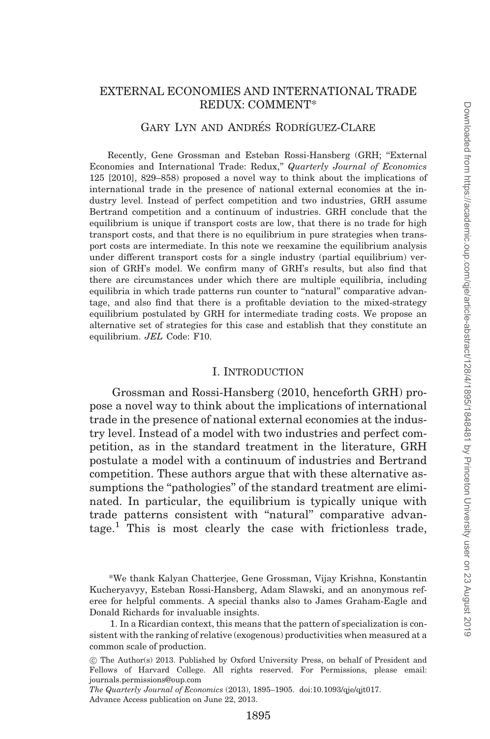### EXTERNAL ECONOMIES AND INTERNATIONAL TRADE REDUX: COMMENT\*

# GARY LYN AND ANDRÉS RODRÍGUEZ-CLARE

Recently, Gene Grossman and Esteban Rossi-Hansberg (GRH; ''External Economies and International Trade: Redux,'' Quarterly Journal of Economics 125 [2010], 829–858) proposed a novel way to think about the implications of international trade in the presence of national external economies at the industry level. Instead of perfect competition and two industries, GRH assume Bertrand competition and a continuum of industries. GRH conclude that the equilibrium is unique if transport costs are low, that there is no trade for high transport costs, and that there is no equilibrium in pure strategies when transport costs are intermediate. In this note we reexamine the equilibrium analysis under different transport costs for a single industry (partial equilibrium) version of GRH's model. We confirm many of GRH's results, but also find that there are circumstances under which there are multiple equilibria, including equilibria in which trade patterns run counter to ''natural'' comparative advantage, and also find that there is a profitable deviation to the mixed-strategy equilibrium postulated by GRH for intermediate trading costs. We propose an alternative set of strategies for this case and establish that they constitute an equilibrium. JEL Code: F10.

#### I. Introduction

Grossman and Rossi-Hansberg [\(2010,](#page-10-0) henceforth GRH) propose a novel way to think about the implications of international trade in the presence of national external economies at the industry level. Instead of a model with two industries and perfect competition, as in the standard treatment in the literature, GRH postulate a model with a continuum of industries and Bertrand competition. These authors argue that with these alternative assumptions the "pathologies" of the standard treatment are eliminated. In particular, the equilibrium is typically unique with trade patterns consistent with ''natural'' comparative advantage.<sup>1</sup> This is most clearly the case with frictionless trade,

\*We thank Kalyan Chatterjee, Gene Grossman, Vijay Krishna, Konstantin Kucheryavyy, Esteban Rossi-Hansberg, Adam Slawski, and an anonymous referee for helpful comments. A special thanks also to James Graham-Eagle and Donald Richards for invaluable insights.

1. In a Ricardian context, this means that the pattern of specialization is consistent with the ranking of relative (exogenous) productivities when measured at a common scale of production.

<sup>!</sup> The Author(s) 2013. Published by Oxford University Press, on behalf of President and Fellows of Harvard College. All rights reserved. For Permissions, please email: journals.permissions@oup.com

The Quarterly Journal of Economics (2013), 1895–1905. doi:10.1093/qje/qjt017. Advance Access publication on June 22, 2013.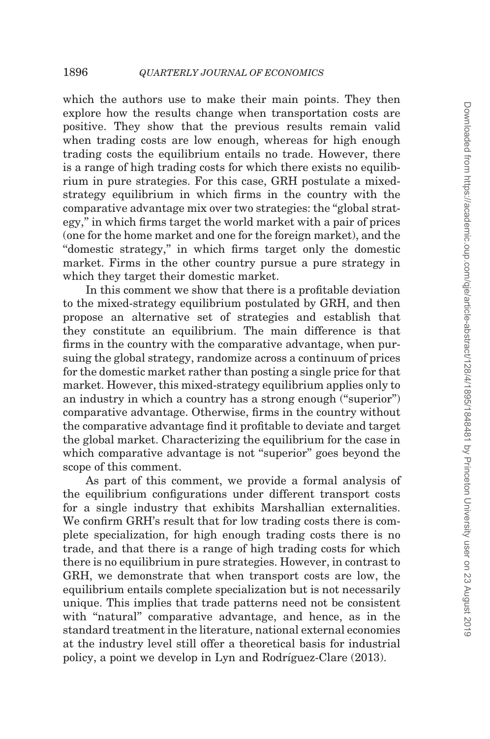which the authors use to make their main points. They then explore how the results change when transportation costs are positive. They show that the previous results remain valid when trading costs are low enough, whereas for high enough trading costs the equilibrium entails no trade. However, there is a range of high trading costs for which there exists no equilibrium in pure strategies. For this case, GRH postulate a mixedstrategy equilibrium in which firms in the country with the comparative advantage mix over two strategies: the ''global strategy,'' in which firms target the world market with a pair of prices (one for the home market and one for the foreign market), and the ''domestic strategy,'' in which firms target only the domestic market. Firms in the other country pursue a pure strategy in which they target their domestic market.

In this comment we show that there is a profitable deviation to the mixed-strategy equilibrium postulated by GRH, and then propose an alternative set of strategies and establish that they constitute an equilibrium. The main difference is that firms in the country with the comparative advantage, when pursuing the global strategy, randomize across a continuum of prices for the domestic market rather than posting a single price for that market. However, this mixed-strategy equilibrium applies only to an industry in which a country has a strong enough (''superior'') comparative advantage. Otherwise, firms in the country without the comparative advantage find it profitable to deviate and target the global market. Characterizing the equilibrium for the case in which comparative advantage is not "superior" goes beyond the scope of this comment.

As part of this comment, we provide a formal analysis of the equilibrium configurations under different transport costs for a single industry that exhibits Marshallian externalities. We confirm GRH's result that for low trading costs there is complete specialization, for high enough trading costs there is no trade, and that there is a range of high trading costs for which there is no equilibrium in pure strategies. However, in contrast to GRH, we demonstrate that when transport costs are low, the equilibrium entails complete specialization but is not necessarily unique. This implies that trade patterns need not be consistent with "natural" comparative advantage, and hence, as in the standard treatment in the literature, national external economies at the industry level still offer a theoretical basis for industrial policy, a point we develop in Lyn and Rodríguez-Clare (2013).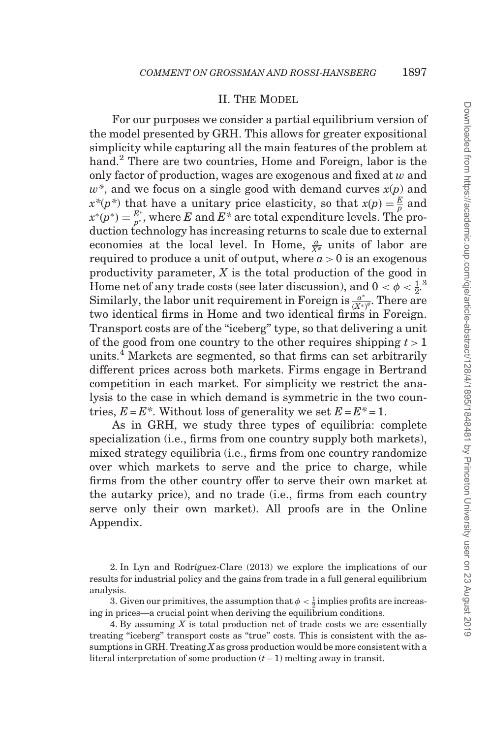#### II. The Model

For our purposes we consider a partial equilibrium version of the model presented by GRH. This allows for greater expositional simplicity while capturing all the main features of the problem at hand.<sup>2</sup> There are two countries, Home and Foreign, labor is the only factor of production, wages are exogenous and fixed at  $w$  and  $w^*$ , and we focus on a single good with demand curves  $x(p)$  and  $x^*(p^*)$  that have a unitary price elasticity, so that  $x(p) = \frac{E}{p}$  and  $x^*(p^*) = \frac{E^*}{p^*}$ , where E and  $E^*$  are total expenditure levels. The production technology has increasing returns to scale due to external economies at the local level. In Home,  $\frac{a}{X^{\phi}}$  units of labor are required to produce a unit of output, where  $a > 0$  is an exogenous productivity parameter,  $X$  is the total production of the good in Home net of any trade costs (see later discussion), and  $0 < \phi < \frac{1}{2}$ . Similarly, the labor unit requirement in Foreign is  $\frac{a^*}{(X^*)^{\alpha}}$ . There are two identical firms in Home and two identical firms in Foreign. Transport costs are of the ''iceberg'' type, so that delivering a unit of the good from one country to the other requires shipping  $t > 1$ units.<sup>4</sup> Markets are segmented, so that firms can set arbitrarily different prices across both markets. Firms engage in Bertrand competition in each market. For simplicity we restrict the analysis to the case in which demand is symmetric in the two countries,  $E = E^*$ . Without loss of generality we set  $E = E^* = 1$ .

As in GRH, we study three types of equilibria: complete specialization (i.e., firms from one country supply both markets), mixed strategy equilibria (i.e., firms from one country randomize over which markets to serve and the price to charge, while firms from the other country offer to serve their own market at the autarky price), and no trade (i.e., firms from each country serve only their own market). All proofs are in the Online Appendix.

<sup>2.</sup> In Lyn and Rodríguez-Clare (2013) we explore the implications of our results for industrial policy and the gains from trade in a full general equilibrium analysis.

<sup>3.</sup> Given our primitives, the assumption that  $\phi < \frac{1}{2}$  implies profits are increasing in prices—a crucial point when deriving the equilibrium conditions.

<sup>4.</sup> By assuming  $X$  is total production net of trade costs we are essentially treating "iceberg" transport costs as "true" costs. This is consistent with the assumptions in GRH. Treating  $X$  as gross production would be more consistent with a literal interpretation of some production  $(t - 1)$  melting away in transit.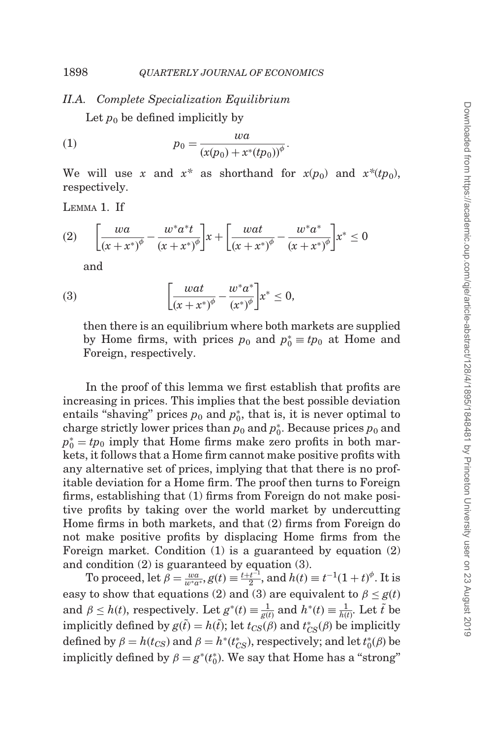II.A. Complete Specialization Equilibrium

Let  $p_0$  be defined implicitly by

(1) 
$$
p_0 = \frac{wa}{(x(p_0) + x^*(tp_0))^{\phi}}.
$$

We will use x and  $x^*$  as shorthand for  $x(p_0)$  and  $x^*(tp_0)$ , respectively.

LEMMA 1. If

$$
(2) \qquad \left[\frac{wa}{(x+x^*)^\phi} - \frac{w^*a^*t}{(x+x^*)^\phi}\right]x + \left[\frac{wat}{(x+x^*)^\phi} - \frac{w^*a^*}{(x+x^*)^\phi}\right]x^* \le 0
$$

and

(3) 
$$
\left[\frac{wat}{(x+x^*)^\phi}-\frac{w^*a^*}{(x^*)^\phi}\right]x^* \leq 0,
$$

then there is an equilibrium where both markets are supplied by Home firms, with prices  $p_0$  and  $p_0^* \equiv tp_0$  at Home and Foreign, respectively.

In the proof of this lemma we first establish that profits are increasing in prices. This implies that the best possible deviation entails "shaving" prices  $p_0$  and  $p_0^*$ , that is, it is never optimal to charge strictly lower prices than  $p_0$  and  $p_0^*$ . Because prices  $p_0$  and  $p_0^* = tp_0$  imply that Home firms make zero profits in both markets, it follows that a Home firm cannot make positive profits with any alternative set of prices, implying that that there is no profitable deviation for a Home firm. The proof then turns to Foreign firms, establishing that (1) firms from Foreign do not make positive profits by taking over the world market by undercutting Home firms in both markets, and that (2) firms from Foreign do not make positive profits by displacing Home firms from the Foreign market. Condition (1) is a guaranteed by equation (2) and condition (2) is guaranteed by equation (3).

To proceed, let  $\beta = \frac{wa}{w^*a^*}, g(t) \equiv \frac{t+t^{-1}}{2}$ , and  $h(t) \equiv t^{-1}(1+t)^{\phi}$ . It is easy to show that equations (2) and (3) are equivalent to  $\beta \leq g(t)$ and  $\beta \leq h(t)$ , respectively. Let  $g^*(t) \equiv \frac{1}{g(t)}$  and  $h^*(t) \equiv \frac{1}{h(t)}$ . Let  $\tilde{t}$  be implicitly defined by  $g(\tilde{t}) = h(\tilde{t})$ ; let  $t_{CS}(\beta)$  and  $t_{CS}^*(\beta)$  be implicitly defined by  $\beta = h(t_{CS})$  and  $\beta = h^*(t_{CS}^*)$ , respectively; and let  $t_0^*(\beta)$  be implicitly defined by  $\beta = g^*(t_0^*)$ . We say that Home has a "strong"

<span id="page-3-0"></span>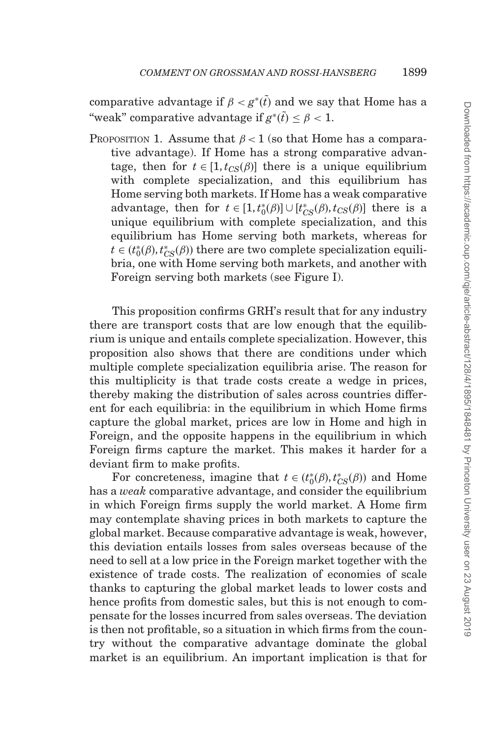comparative advantage if  $\beta < g^*(\tilde{t})$  and we say that Home has a "weak" comparative advantage if  $g^*(\tilde{t}) \leq \beta < 1$ .

PROPOSITION 1. Assume that  $\beta < 1$  (so that Home has a comparative advantage). If Home has a strong comparative advantage, then for  $t \in [1, t_{CS}(\beta)]$  there is a unique equilibrium with complete specialization, and this equilibrium has Home serving both markets. If Home has a weak comparative advantage, then for  $t \in [1, t_0^*(\beta)] \cup [t_{CS}^*(\beta), t_{CS}(\beta)]$  there is a unique equilibrium with complete specialization, and this equilibrium has Home serving both markets, whereas for  $t \in (t_0^*(\beta), t_{CS}^*(\beta))$  there are two complete specialization equilibria, one with Home serving both markets, and another with Foreign serving both markets (see [Figure I](#page-5-0)).

This proposition confirms GRH's result that for any industry there are transport costs that are low enough that the equilibrium is unique and entails complete specialization. However, this proposition also shows that there are conditions under which multiple complete specialization equilibria arise. The reason for this multiplicity is that trade costs create a wedge in prices, thereby making the distribution of sales across countries different for each equilibria: in the equilibrium in which Home firms capture the global market, prices are low in Home and high in Foreign, and the opposite happens in the equilibrium in which Foreign firms capture the market. This makes it harder for a deviant firm to make profits.

For concreteness, imagine that  $t \in (t_0^*(\beta), t_{CS}^*(\beta))$  and Home has a weak comparative advantage, and consider the equilibrium in which Foreign firms supply the world market. A Home firm may contemplate shaving prices in both markets to capture the global market. Because comparative advantage is weak, however, this deviation entails losses from sales overseas because of the need to sell at a low price in the Foreign market together with the existence of trade costs. The realization of economies of scale thanks to capturing the global market leads to lower costs and hence profits from domestic sales, but this is not enough to compensate for the losses incurred from sales overseas. The deviation is then not profitable, so a situation in which firms from the country without the comparative advantage dominate the global market is an equilibrium. An important implication is that for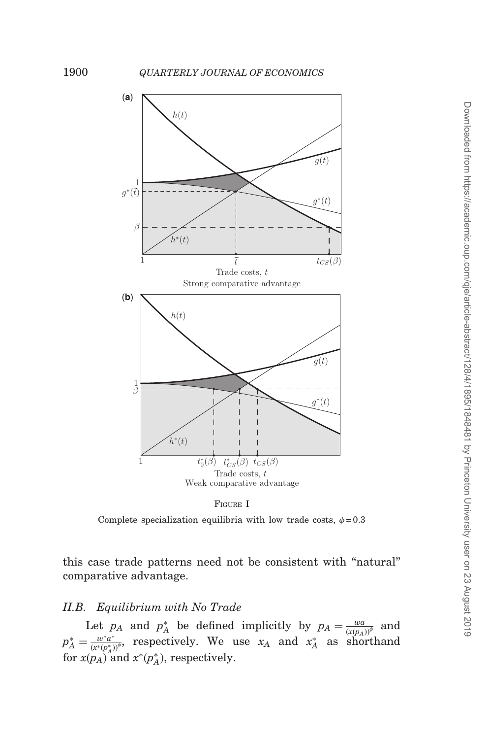



Complete specialization equilibria with low trade costs,  $\phi = 0.3$ 

this case trade patterns need not be consistent with ''natural'' comparative advantage.

### II.B. Equilibrium with No Trade

Let  $p_A$  and  $p_A^*$  be defined implicitly by  $p_A = \frac{wa}{(x(p_A))^{\phi}}$  and  $p_A^* = \frac{w^* a^*}{(x^*(p_A^*))^{\phi}},$  respectively. We use  $x_A$  and  $x_A^*$  as shorthand for  $x(p_A)$  and  $x^*(p_A^*)$ , respectively.

<span id="page-5-0"></span>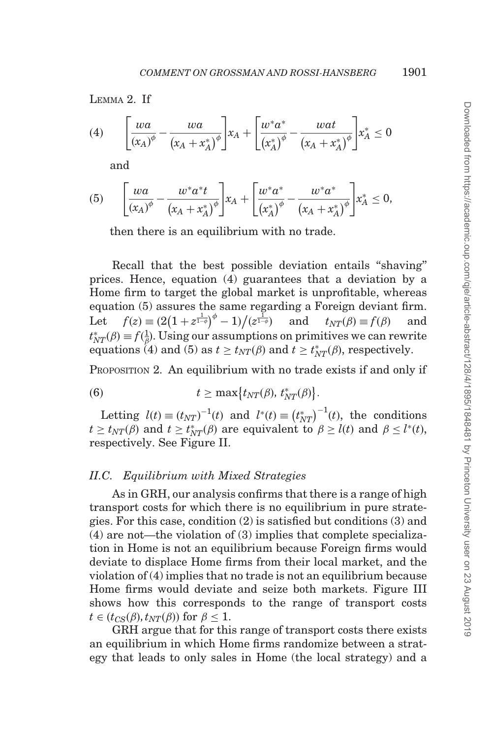LEMMA 2. If

(4) 
$$
\left[\frac{wa}{(x_A)^{\phi}} - \frac{wa}{(x_A + x_A^*)^{\phi}}\right]x_A + \left[\frac{w^*a^*}{(x_A^*)^{\phi}} - \frac{wat}{(x_A + x_A^*)^{\phi}}\right]x_A^* \le 0
$$

and

(5) 
$$
\left[\frac{wa}{(x_A)^{\phi}} - \frac{w^*a^*t}{(x_A + x_A^*)^{\phi}}\right]x_A + \left[\frac{w^*a^*}{(x_A^*)^{\phi}} - \frac{w^*a^*}{(x_A + x_A^*)^{\phi}}\right]x_A^* \leq 0,
$$

then there is an equilibrium with no trade.

Recall that the best possible deviation entails ''shaving'' prices. Hence, equation (4) guarantees that a deviation by a Home firm to target the global market is unprofitable, whereas equation (5) assures the same regarding a Foreign deviant firm. Let  $f(z) = (2(1 + z^{1-\phi})^{\phi} - 1)/(z^{1-\phi})$ and  $t_{NT}(\beta) \equiv f(\beta)$  and  $t^*_{NT}(\beta) \equiv f(\frac{1}{\beta}).$  Using our assumptions on primitives we can rewrite equations (4) and (5) as  $t \ge t_{NT}(\beta)$  and  $t \ge t_{NT}^*(\beta)$ , respectively.

PROPOSITION 2. An equilibrium with no trade exists if and only if

(6) 
$$
t \geq \max\{t_{NT}(\beta), t_{NT}^*(\beta)\}.
$$

Letting  $l(t) \equiv (t_{NT})^{-1}(t)$  and  $l^*(t) \equiv (t_{NT}^*)^{-1}(t)$ , the conditions  $t \ge t_{NT}(\beta)$  and  $t \ge t_{NT}^*(\beta)$  are equivalent to  $\beta \ge l(t)$  and  $\beta \le l^*(t)$ , respectively. See [Figure II](#page-7-0).

### II.C. Equilibrium with Mixed Strategies

As in GRH, our analysis confirms that there is a range of high transport costs for which there is no equilibrium in pure strategies. For this case, condition (2) is satisfied but conditions (3) and (4) are not—the violation of (3) implies that complete specialization in Home is not an equilibrium because Foreign firms would deviate to displace Home firms from their local market, and the violation of (4) implies that no trade is not an equilibrium because Home firms would deviate and seize both markets. [Figure III](#page-7-0) shows how this corresponds to the range of transport costs  $t \in (t_{CS}(\beta), t_{NT}(\beta))$  for  $\beta < 1$ .

GRH argue that for this range of transport costs there exists an equilibrium in which Home firms randomize between a strategy that leads to only sales in Home (the local strategy) and a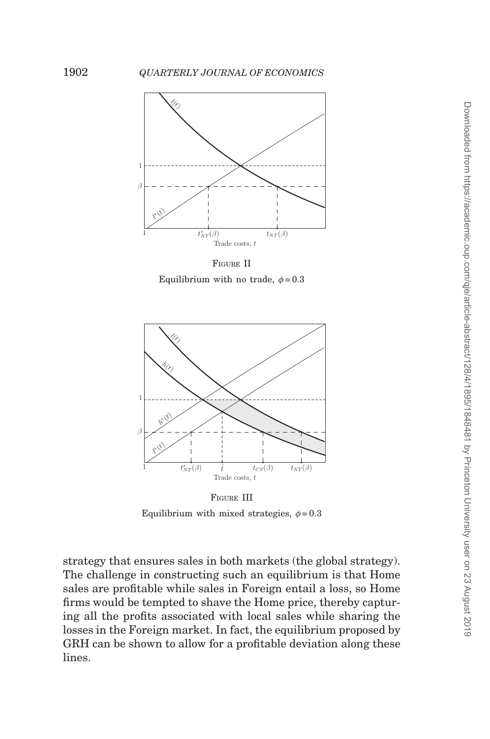<span id="page-7-0"></span>

FIGURE II Equilibrium with no trade,  $\phi = 0.3$ 



FIGURE III Equilibrium with mixed strategies,  $\phi = 0.3$ 

strategy that ensures sales in both markets (the global strategy). The challenge in constructing such an equilibrium is that Home sales are profitable while sales in Foreign entail a loss, so Home firms would be tempted to shave the Home price, thereby capturing all the profits associated with local sales while sharing the losses in the Foreign market. In fact, the equilibrium proposed by GRH can be shown to allow for a profitable deviation along these lines.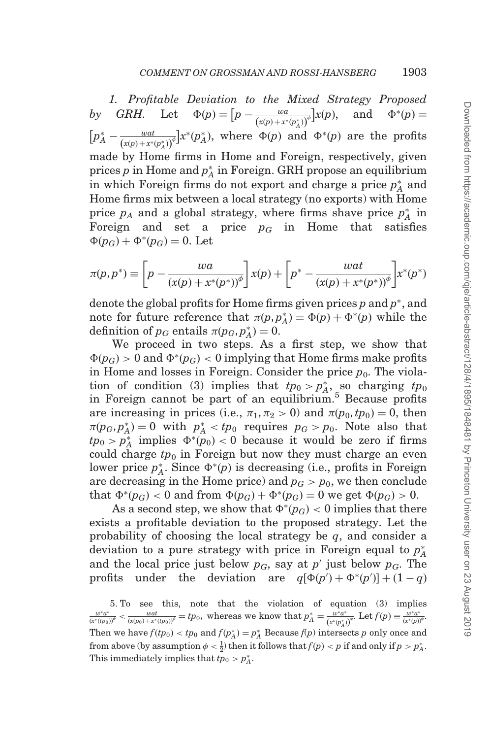1. Profitable Deviation to the Mixed Strategy Proposed by *GRH*. Let  $\Phi(p) \equiv \left[ p - \frac{wa}{(x(p) + x^*(p_A^*))^{\phi}} \right] x(p)$ , and  $\Phi$  $*(p) \equiv$  $\left[p_A^* - \frac{wat}{(x(p) + x^*(p_A^*))^{\phi}}\right]x^*(p_A^*)$ , where  $\Phi(p)$  and  $\Phi^*(p)$  are the profits made by Home firms in Home and Foreign, respectively, given prices  $p$  in Home and  $p_A^\ast$  in Foreign. GRH propose an equilibrium in which Foreign firms do not export and charge a price  $p_A^*$  and Home firms mix between a local strategy (no exports) with Home price  $p_A$  and a global strategy, where firms shave price  $p_A^*$  in Foreign and set a price  $p<sub>G</sub>$  in Home that satisfies  $\Phi(p_G) + \Phi^*(p_G) = 0.$  Let

$$
\pi(p, p^*) \equiv \left[ p - \frac{wa}{(x(p) + x^*(p^*))^{\phi}} \right] x(p) + \left[ p^* - \frac{wat}{(x(p) + x^*(p^*))^{\phi}} \right] x^*(p^*)
$$

denote the global profits for Home firms given prices  $p$  and  $p^*$ , and note for future reference that  $\pi(p, p_A^*) = \Phi(p) + \Phi^*(p)$  while the definition of  $p_G$  entails  $\pi(p_G, p_A^*) = 0$ .

We proceed in two steps. As a first step, we show that  $\Phi(p_G) > 0$  and  $\Phi^*(p_G) < 0$  implying that Home firms make profits in Home and losses in Foreign. Consider the price  $p_0$ . The violation of condition (3) implies that  $tp_0 > p_A^*$ , so charging  $tp_0$ in Foreign cannot be part of an equilibrium.<sup>5</sup> Because profits are increasing in prices (i.e.,  $\pi_1, \pi_2 > 0$ ) and  $\pi(p_0, tp_0) = 0$ , then  $\pi(p_G, p_A^*) = 0$  with  $p_A^* < tp_0$  requires  $p_G > p_0$ . Note also that  $tp_0 > p_A^*$  implies  $\Phi^*(p_0) < 0$  because it would be zero if firms could charge  $tp_0$  in Foreign but now they must charge an even lower price  $p_A^*$ . Since  $\Phi^*(p)$  is decreasing (i.e., profits in Foreign are decreasing in the Home price) and  $p<sub>G</sub> > p<sub>0</sub>$ , we then conclude that  $\Phi^*(p_G) < 0$  and from  $\Phi(p_G) + \Phi^*(p_G) = 0$  we get  $\Phi(p_G) > 0$ .

As a second step, we show that  $\Phi^*(p_G) < 0$  implies that there exists a profitable deviation to the proposed strategy. Let the probability of choosing the local strategy be  $q$ , and consider a deviation to a pure strategy with price in Foreign equal to  $p_A^*$ and the local price just below  $p_G$ , say at p' just below  $p_G$ . The profits under the deviation are  $q[\Phi(p') + \Phi^*(p')] + (1 - q)$ 

<sup>5.</sup> To see this, note that the violation of [equation \(3\)](#page-3-0) implies  $\frac{w^*a^*}{(x^*(p_0))^{\phi}} < \frac{wat}{(x(p_0) + x^*(p_0))^{\phi}} = tp_0$ , whereas we know that  $p_A^* = \frac{w^*a^*}{(x^*(p_A^*))^{\phi}}$ . Let  $f(p) \equiv \frac{w^*a^*}{(x^*(p_0))^{\phi}}$ . Then we have  $f(tp_0) < tp_0$  and  $f(p_A^*) = p_A^*$  Because  $f(p)$  intersects p only once and from above (by assumption  $\phi < \frac{1}{2}$ ) then it follows that  $f(p) < p$  if and only if  $p > p_A^*$ . This immediately implies that  $tp_0 > p_A^*$ .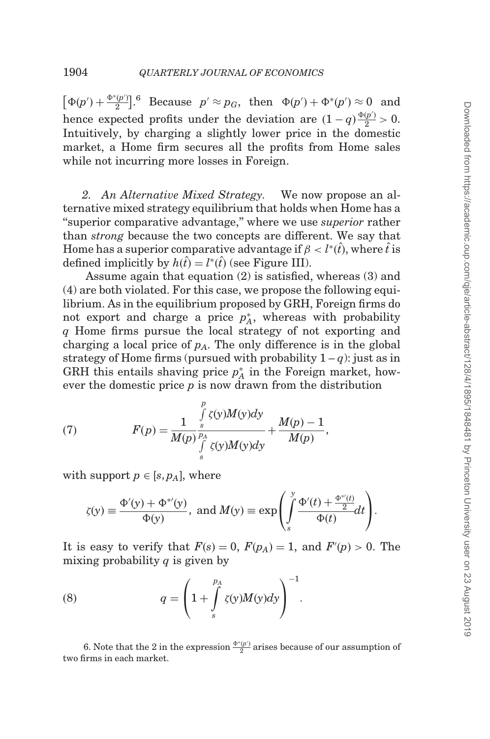$\left[\Phi(p')+\frac{\Phi^{\ast}(p')}{2}\right]$ ].<sup>6</sup> Because  $p' \approx p_G$ , then  $\Phi(p') + \Phi^*(p') \approx 0$  and hence expected profits under the deviation are  $(1-q)\frac{\Phi(p')}{2} > 0$ . Intuitively, by charging a slightly lower price in the domestic market, a Home firm secures all the profits from Home sales while not incurring more losses in Foreign.

2. An Alternative Mixed Strategy. We now propose an alternative mixed strategy equilibrium that holds when Home has a "superior comparative advantage," where we use *superior* rather than strong because the two concepts are different. We say that Home has a superior comparative advantage if  $\beta < l^*(\hat{t}),$  where  $\hat{t}$  is defined implicitly by  $h(\hat{t}) = l^*(\hat{t})$  (see [Figure III](#page-7-0)).

Assume again that [equation \(2\)](#page-3-0) is satisfied, whereas (3) and (4) are both violated. For this case, we propose the following equilibrium. As in the equilibrium proposed by GRH, Foreign firms do not export and charge a price  $p_A^*$ , whereas with probability q Home firms pursue the local strategy of not exporting and charging a local price of  $p_A$ . The only difference is in the global strategy of Home firms (pursued with probability  $1-q$ ): just as in GRH this entails shaving price  $p_A^*$  in the Foreign market, however the domestic price  $p$  is now drawn from the distribution

(7) 
$$
F(p) = \frac{1}{M(p)} \int_{s}^{p} \zeta(y)M(y)dy + \frac{M(p) - 1}{M(p)},
$$

with support  $p \in [s, p_A]$ , where

$$
\zeta(y) \equiv \frac{\Phi'(y) + \Phi^{*}(y)}{\Phi(y)}, \text{ and } M(y) \equiv \exp\left(\int_s^y \frac{\Phi'(t) + \frac{\Phi^{*}(t)}{2}}{\Phi(t)} dt\right).
$$

It is easy to verify that  $F(s) = 0$ ,  $F(p_A) = 1$ , and  $F'(p) > 0$ . The mixing probability  $q$  is given by

(8) 
$$
q = \left(1 + \int_s^{p_A} \zeta(y)M(y)dy\right)^{-1}.
$$

6. Note that the 2 in the expression  $\frac{\Phi^*(p')}{2}$  arises because of our assumption of two firms in each market.

<span id="page-9-0"></span>